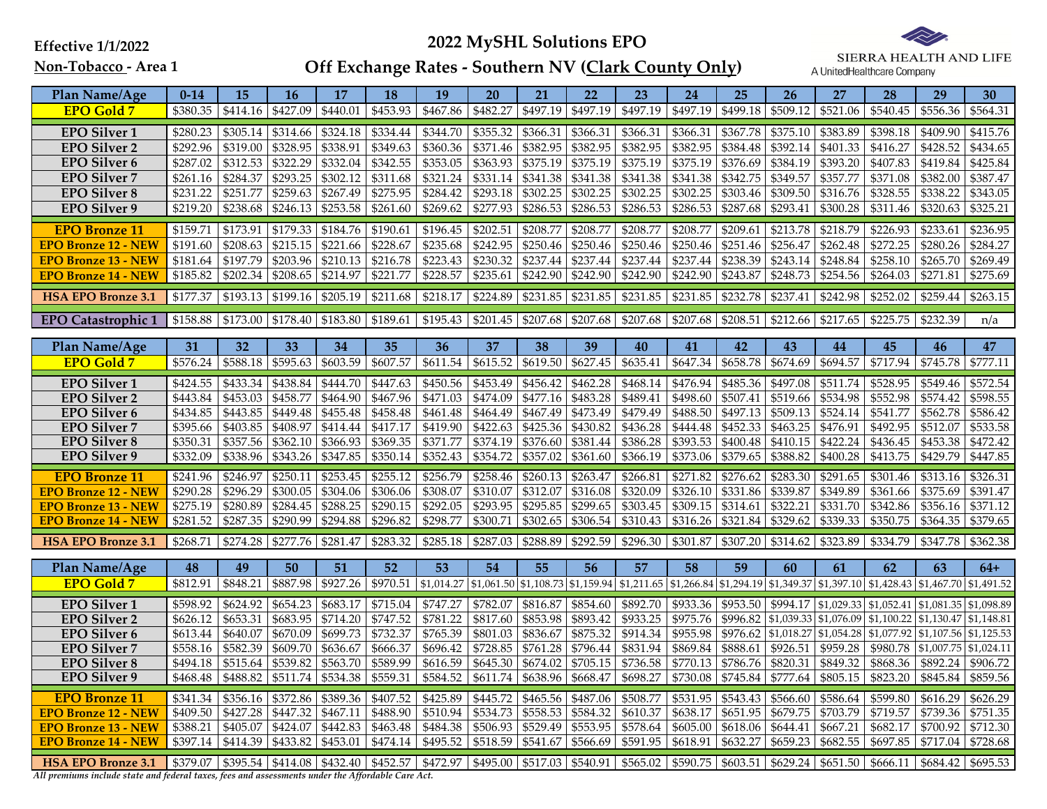Effective 1/1/2022

## 2022 MySHL Solutions EPO



Non-Tobacco - Area 1

## Off Exchange Rates - Southern NV (<u>Clark County Only</u>)

| Plan Name/Age                                                                                     | $0 - 14$ | 15       | 16                | 17                     | 18                                                   | 19                | 20                                  | 21                | 22                     | 23                 | 24                           | 25                            | 26                                                            | 27                | 28                                                                                                                                                                                              | 29         | 30                     |
|---------------------------------------------------------------------------------------------------|----------|----------|-------------------|------------------------|------------------------------------------------------|-------------------|-------------------------------------|-------------------|------------------------|--------------------|------------------------------|-------------------------------|---------------------------------------------------------------|-------------------|-------------------------------------------------------------------------------------------------------------------------------------------------------------------------------------------------|------------|------------------------|
| <b>EPO Gold 7</b>                                                                                 | \$380.35 | \$414.16 | \$427.09          | \$440.01               | \$453.93                                             | \$467.86          | \$482.27                            | \$497.19          | \$497.19               | \$497.19           | \$497.19                     | \$499.18                      | \$509.12                                                      | \$521.06          | \$540.45                                                                                                                                                                                        | \$556.36   | \$564.31               |
| <b>EPO Silver 1</b>                                                                               | \$280.23 | \$305.14 | \$314.66          | \$324.18               | \$334.44                                             | \$344.70          | \$355.32                            |                   | $$366.31$ \$366.31     | \$366.31           | \$366.31                     | \$367.78                      | \$375.10                                                      | \$383.89          | \$398.18                                                                                                                                                                                        | \$409.90   | \$415.76               |
| <b>EPO Silver 2</b>                                                                               | \$292.96 | \$319.00 | \$328.95          | \$338.91               | \$349.63                                             | \$360.36          | \$371.46                            |                   | \$382.95 \$382.95      | \$382.95           | \$382.95                     | \$384.48                      | \$392.14                                                      | \$401.33          | \$416.27                                                                                                                                                                                        | \$428.52   | \$434.65               |
| <b>EPO Silver 6</b>                                                                               | \$287.02 | \$312.53 | \$322.29          | \$332.04               | \$342.55                                             | \$353.05          | \$363.93                            | \$375.19          | \$375.19               | \$375.19           | \$375.19                     | \$376.69                      | \$384.19                                                      | \$393.20          | \$407.83                                                                                                                                                                                        | \$419.84   | \$425.84               |
| <b>EPO Silver 7</b>                                                                               | \$261.16 | \$284.37 | \$293.25          | \$302.12               | \$311.68                                             | \$321.24          | \$331.14                            | \$341.38          | \$341.38               | \$341.38           | \$341.38                     | \$342.75                      | \$349.57                                                      | \$357.77          | \$371.08                                                                                                                                                                                        | \$382.00   | \$387.47               |
| <b>EPO Silver 8</b>                                                                               | \$231.22 | \$251.77 | \$259.63          | \$267.49               | \$275.95                                             | \$284.42          | \$293.18                            | \$302.25          | \$302.25               | \$302.25           | \$302.25                     | \$303.46                      | \$309.50                                                      | \$316.76          | \$328.55                                                                                                                                                                                        | \$338.22   | \$343.05               |
| <b>EPO Silver 9</b>                                                                               | \$219.20 | \$238.68 | \$246.13          | \$253.58               | \$261.60                                             | \$269.62          | \$277.93                            |                   | $$286.53$ \$286.53     | \$286.53           | \$286.53                     | \$287.68                      | \$293.41                                                      | \$300.28          | \$311.46                                                                                                                                                                                        | \$320.63   | \$325.21               |
| <b>EPO Bronze 11</b>                                                                              | \$159.71 | \$173.91 |                   | $$179.33 \mid $184.76$ | \$190.61                                             |                   | $$196.45$ \$202.51                  | \$208.77 \$208.77 |                        | \$208.77           | \$208.77                     | \$209.61 \$213.78             |                                                               | \$218.79          | \$226.93                                                                                                                                                                                        | \$233.61   | \$236.95               |
| <b>EPO Bronze 12 - NEW</b>                                                                        | \$191.60 | \$208.63 | \$215.15          | \$221.66               | \$228.67                                             | \$235.68          | \$242.95                            | \$250.46          | \$250.46               | \$250.46           | \$250.46                     | \$251.46                      | \$256.47                                                      | \$262.48          | \$272.25                                                                                                                                                                                        | \$280.26   | \$284.27               |
| <b>EPO Bronze 13 - NEW</b>                                                                        | \$181.64 | \$197.79 | \$203.96          | \$210.13               | \$216.78                                             | \$223.43          | \$230.32                            | \$237.44 \$237.44 |                        | \$237.44           | \$237.44                     | \$238.39                      | \$243.14                                                      | \$248.84          | \$258.10                                                                                                                                                                                        | \$265.70   | \$269.49               |
| <b>EPO Bronze 14 - NEW</b>                                                                        | \$185.82 | \$202.34 | \$208.65          | \$214.97               | \$221.77                                             | \$228.57          | \$235.61                            | \$242.90          | \$242.90               | \$242.90           | \$242.90                     | \$243.87                      | \$248.73                                                      | \$254.56          | \$264.03                                                                                                                                                                                        | \$271.81   | \$275.69               |
| <b>HSA EPO Bronze 3.1</b>                                                                         | \$177.37 | \$193.13 | \$199.16          | \$205.19               | \$211.68                                             | \$218.17          | \$224.89                            |                   | $$231.85$ \$231.85     | \$231.85           | \$231.85                     | \$232.78                      | \$237.41                                                      | \$242.98          | \$252.02                                                                                                                                                                                        | \$259.44   | \$263.15               |
| <b>EPO Catastrophic 1</b>                                                                         | \$158.88 | \$173.00 |                   | $$178.40$ \$183.80     | \$189.61                                             | \$195.43 \$201.45 |                                     |                   | $$207.68 \mid $207.68$ | $$207.68$ \$207.68 |                              | $\sqrt{$}208.51$              | $$212.66 \mid $217.65$                                        |                   | \$225.75                                                                                                                                                                                        | \$232.39   | n/a                    |
|                                                                                                   |          |          |                   |                        |                                                      |                   |                                     |                   |                        |                    |                              |                               |                                                               |                   |                                                                                                                                                                                                 |            |                        |
| Plan Name/Age                                                                                     | 31       | 32       | 33                | 34                     | 35                                                   | 36                | 37                                  | 38                | 39                     | 40                 | 41                           | 42                            | 43                                                            | 44                | 45                                                                                                                                                                                              | 46         | 47                     |
| <b>EPO Gold 7</b>                                                                                 | \$576.24 | \$588.18 |                   | \$595.63 \$603.59      | \$607.57                                             |                   | \$611.54 \$615.52 \$619.50 \$627.45 |                   |                        | \$635.41           | \$647.34                     |                               | $\left  \frac{658.78}{6674.69} \right  \frac{694.57}{694.57}$ |                   | \$717.94                                                                                                                                                                                        | \$745.78   | \$777.11               |
| <b>EPO Silver 1</b>                                                                               | \$424.55 | \$433.34 |                   | $$438.84 \mid $444.70$ | \$447.63                                             | \$450.56          | \$453.49                            |                   | \$456.42 \$462.28      | \$468.14           | \$476.94                     |                               | $$485.36 \mid $497.08 \mid $511.74$                           |                   | \$528.95                                                                                                                                                                                        | \$549.46   | \$572.54               |
| <b>EPO Silver 2</b>                                                                               | \$443.84 | \$453.03 | \$458.77          | \$464.90               | \$467.96                                             | \$471.03          | \$474.09                            | \$477.16          | \$483.28               | \$489.41           | \$498.60                     | \$507.41                      | \$519.66                                                      | \$534.98          | \$552.98                                                                                                                                                                                        | \$574.42   | \$598.55               |
| <b>EPO</b> Silver 6                                                                               | \$434.85 | \$443.85 |                   | \$449.48 \$455.48      | \$458.48                                             | \$461.48          | \$464.49                            |                   | \$467.49 \$473.49      | \$479.49           | \$488.50                     |                               | $\frac{1}{2}$ \$497.13 \$509.13 \$524.14                      |                   | \$541.77                                                                                                                                                                                        | \$562.78   | \$586.42               |
| <b>EPO Silver 7</b>                                                                               | \$395.66 | \$403.85 | \$408.97          | \$414.44               | \$417.17                                             | \$419.90          | \$422.63                            |                   | \$425.36 \$430.82      | \$436.28           |                              | $$444.48$ $$452.33$ $$463.25$ |                                                               | \$476.91          | \$492.95                                                                                                                                                                                        | \$512.07   | \$533.58               |
| <b>EPO Silver 8</b>                                                                               | \$350.31 | \$357.56 | \$362.10          | \$366.93               | \$369.35                                             | \$371.77          | \$374.19                            |                   | \$376.60 \$381.44      | \$386.28           |                              | \$393.53 \$400.48             | \$410.15                                                      | \$422.24          | \$436.45                                                                                                                                                                                        | \$453.38   | \$472.42               |
| <b>EPO Silver 9</b>                                                                               | \$332.09 | \$338.96 | \$343.26          | \$347.85               | \$350.14                                             | \$352.43          | \$354.72                            |                   | \$357.02 \$361.60      | \$366.19           | \$373.06                     | \$379.65                      | \$388.82                                                      | \$400.28          | \$413.75                                                                                                                                                                                        | \$429.79   | \$447.85               |
| <b>EPO Bronze 11</b>                                                                              | \$241.96 | \$246.97 | \$250.11          | \$253.45               | \$255.12                                             | \$256.79          | \$258.46                            |                   | $$260.13 \mid $263.47$ | \$266.81           |                              |                               | \$271.82 \$276.62 \$283.30 \$291.65                           |                   | \$301.46                                                                                                                                                                                        | \$313.16   | \$326.31               |
| <b>EPO Bronze 12 - NEW</b>                                                                        | \$290.28 | \$296.29 | \$300.05          | \$304.06               | \$306.06                                             | \$308.07          | \$310.07                            |                   | \$312.07 \$316.08      | \$320.09           | \$326.10 \$331.86 \$339.87   |                               |                                                               | \$349.89          | \$361.66                                                                                                                                                                                        | \$375.69   | \$391.47               |
| <b>EPO Bronze 13 - NEW</b>                                                                        | \$275.19 | \$280.89 | \$284.45          | \$288.25               | \$290.15                                             | \$292.05          | \$293.95                            |                   | $$295.85$ \$299.65     | \$303.45           | $$309.15$ $$314.61$ \$322.21 |                               |                                                               | \$331.70          | \$342.86                                                                                                                                                                                        | \$356.16   | \$371.12               |
| <b>EPO Bronze 14 - NEW</b>                                                                        | \$281.52 | \$287.35 | \$290.99          | \$294.88               | \$296.82                                             | \$298.77          | \$300.71                            |                   | \$302.65 \$306.54      | \$310.43           | \$316.26                     | \$321.84                      | \$329.62                                                      | \$339.33          | \$350.75                                                                                                                                                                                        | \$364.35   | \$379.65               |
| <b>HSA EPO Bronze 3.1</b>                                                                         | \$268.71 | \$274.28 | \$277.76          | \$281.47               | \$283.32                                             |                   | \$285.18 \$287.03                   |                   | $$288.89$ \$292.59     | \$296.30           | \$301.87                     | \$307.20                      | $$314.62$ \$323.89                                            |                   | \$334.79                                                                                                                                                                                        | \$347.78   | \$362.38               |
| Plan Name/Age                                                                                     | 48       | 49       | 50                | 51                     | 52                                                   | 53                | 54                                  | 55                | 56                     | 57                 | 58                           | 59                            | 60                                                            | 61                | 62                                                                                                                                                                                              | 63         | $64+$                  |
| <b>EPO Gold 7</b>                                                                                 | \$812.91 | \$848.21 | \$887.98          | \$927.26               | \$970.51                                             |                   |                                     |                   |                        |                    |                              |                               |                                                               |                   | $$1,014.27$ $$1,061.50$ $$1,108.73$ $$1,159.94$ $$1,211.65$ $$1,266.84$ $$1,294.19$ $$1,349.37$ $$1,397.10$ $$1,428.43$                                                                         | \$1,467.70 | \$1,491.52             |
| <b>EPO Silver 1</b>                                                                               | \$598.92 | \$624.92 | \$654.23          | \$683.17               | \$715.04                                             | \$747.27          | \$782.07                            |                   | \$816.87 \$854.60      | \$892.70           | \$933.36                     |                               |                                                               |                   | \$953.50 \$994.17 \$1,029.33 \$1,052.41                                                                                                                                                         | \$1.081.35 | $\overline{$}1,098.89$ |
| <b>EPO Silver 2</b>                                                                               | \$626.12 | \$653.31 | \$683.95          | \$714.20               | \$747.52                                             | \$781.22          | \$817.60                            | \$853.98          | \$893.42               | \$933.25           | \$975.76                     |                               |                                                               |                   | \$996.82 \$1,039.33 \$1,076.09 \$1,100.22                                                                                                                                                       | \$1,130.47 | \$1,148.81             |
| <b>EPO Silver 6</b>                                                                               | \$613.44 | \$640.07 | \$670.09          | \$699.73               | \$732.37                                             | \$765.39          | \$801.03                            | \$836.67          | \$875.32               | \$914.34           | \$955.98                     |                               | \$976.62 \$1,018.27 \$1,054.28                                |                   | \$1,077.92                                                                                                                                                                                      | \$1,107.56 | \$1,125.53             |
| <b>EPO Silver 7</b>                                                                               | \$558.16 | \$582.39 | \$609.70          | \$636.67               | \$666.37                                             | \$696.42          | \$728.85                            |                   | \$761.28 \$796.44      | \$831.94           | \$869.84                     | \$888.61 \$926.51             |                                                               | \$959.28          | \$980.78                                                                                                                                                                                        | \$1,007.75 | \$1,024.11             |
| <b>EPO Silver 8</b>                                                                               | \$494.18 | \$515.64 | \$539.82          | \$563.70               | \$589.99                                             | \$616.59          | \$645.30                            |                   | $$674.02$ \$705.15     | \$736.58           | \$770.13                     | \$786.76                      | \$820.31                                                      | \$849.32          | \$868.36                                                                                                                                                                                        | \$892.24   | \$906.72               |
| <b>EPO Silver 9</b>                                                                               | \$468.48 | \$488.82 | \$511.74          | \$534.38               | \$559.31                                             | \$584.52          | \$611.74                            | \$638.96 \$668.47 |                        | \$698.27           | \$730.08                     | \$745.84                      |                                                               | \$777.64 \$805.15 | \$823.20                                                                                                                                                                                        | \$845.84   | \$859.56               |
| <b>EPO Bronze 11</b>                                                                              | \$341.34 | \$356.16 | \$372.86          | \$389.36               | \$407.52                                             | \$425.89          | \$445.72                            |                   | $$465.56 \mid $487.06$ | \$508.77           | \$531.95                     | \$543.43                      | \$566.60 \$586.64                                             |                   | \$599.80                                                                                                                                                                                        | \$616.29   | \$626.29               |
| <b>EPO Bronze 12 - NEW</b>                                                                        | \$409.50 | \$427.28 | \$447.32 \$467.11 |                        | \$488.90                                             | \$510.94          | \$534.73                            |                   | \$558.53 \$584.32      | \$610.37           | \$638.17                     | \$651.95 \$679.75             |                                                               | \$703.79          | \$719.57                                                                                                                                                                                        | \$739.36   | \$751.35               |
| <b>EPO Bronze 13 - NEW</b>                                                                        | \$388.21 | \$405.07 | \$424.07          | \$442.83               | \$463.48                                             | \$484.38          | \$506.93                            |                   | \$529.49 \$553.95      | \$578.64           | \$605.00                     | \$618.06                      | \$644.41                                                      | \$667.21          | \$682.17                                                                                                                                                                                        | \$700.92   | \$712.30               |
| <b>EPO Bronze 14 - NEW</b>                                                                        | \$397.14 | \$414.39 | \$433.82          | \$453.01               | \$474.14                                             | \$495.52          | \$518.59                            |                   | \$541.67 \$566.69      | \$591.95           | \$618.91                     | \$632.27                      | \$659.23                                                      | \$682.55          | \$697.85                                                                                                                                                                                        | \$717.04   | \$728.68               |
| <b>HSA EPO Bronze 3.1</b>                                                                         |          |          |                   |                        | \$379.07   \$395.54   \$414.08   \$432.40   \$452.57 |                   |                                     |                   |                        |                    |                              |                               |                                                               |                   | $\frac{15472.97}{15495.00}$ $\frac{15517.03}{1540.91}$ $\frac{1565.02}{15565.02}$ $\frac{1590.75}{1500.75}$ $\frac{15629.24}{15629.24}$ $\frac{15651.50}{15666.11}$ $\frac{15684.42}{15684.42}$ |            | \$695.53               |
| All premiums include state and federal taxes, fees and assessments under the Affordable Care Act. |          |          |                   |                        |                                                      |                   |                                     |                   |                        |                    |                              |                               |                                                               |                   |                                                                                                                                                                                                 |            |                        |